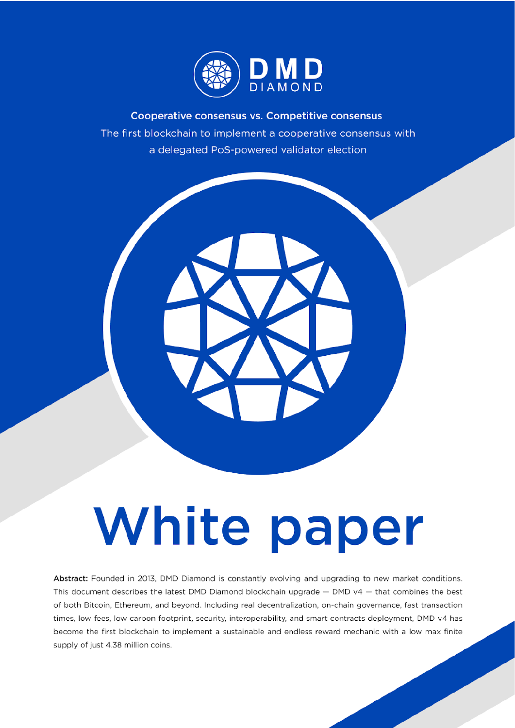

Cooperative consensus vs. Competitive consensus The first blockchain to implement a cooperative consensus with a delegated PoS-powered validator election



# White paper

Abstract: Founded in 2013, DMD Diamond is constantly evolving and upgrading to new market conditions. This document describes the latest DMD Diamond blockchain upgrade  $-$  DMD v4  $-$  that combines the best of both Bitcoin, Ethereum, and beyond. Including real decentralization, on-chain governance, fast transaction times, low fees, low carbon footprint, security, interoperability, and smart contracts deployment, DMD v4 has become the first blockchain to implement a sustainable and endless reward mechanic with a low max finite supply of just 4.38 million coins.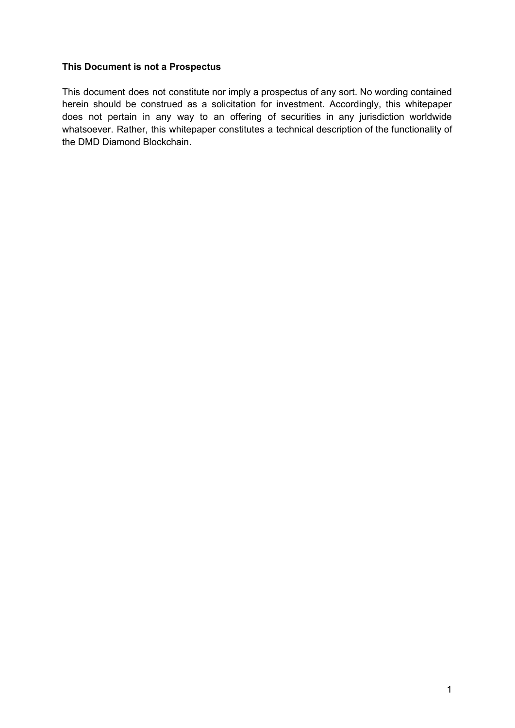#### **This Document is not a Prospectus**

This document does not constitute nor imply a prospectus of any sort. No wording contained herein should be construed as a solicitation for investment. Accordingly, this whitepaper does not pertain in any way to an offering of securities in any jurisdiction worldwide whatsoever. Rather, this whitepaper constitutes a technical description of the functionality of the DMD Diamond Blockchain.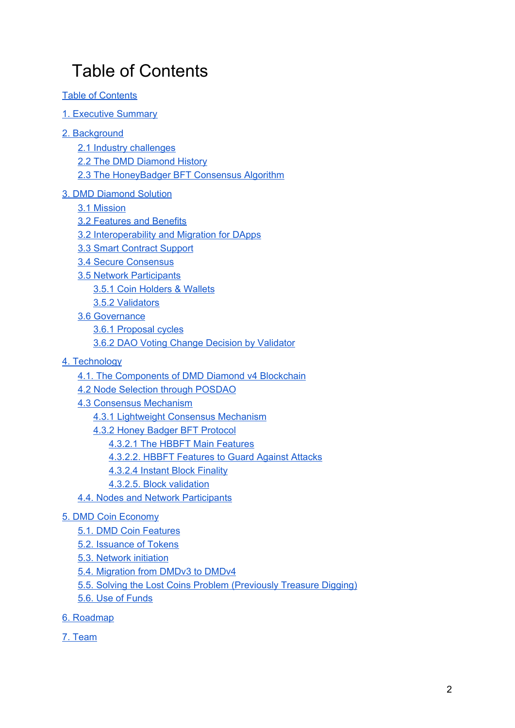# <span id="page-2-0"></span>Table of Contents

- Table of [Contents](#page-2-0)
- 1. [Executive](#page-3-0) Summary
- 2. [Background](#page-4-0)
	- 2.1 Industry [challenges](#page-4-1)
	- 2.2 The DMD [Diamond](#page-5-0) History
	- 2.3 The [HoneyBadger](#page-8-0) BFT Consensus Algorithm
- 3. DMD [Diamond](#page-9-0) Solution
	- 3.1 [Mission](#page-9-1)
	- 3.2 [Features](#page-9-2) and Benefits
	- 3.2 [Interoperability](#page-12-0) and Migration for DApps
	- 3.3 Smart [Contract](#page-12-1) Support
	- 3.4 Secure [Consensus](#page-12-2)
	- 3.5 Network [Participants](#page-13-0)
		- 3.5.1 Coin [Holders](#page-13-1) & Wallets
		- 3.5.2 [Validators](#page-14-0)
	- 3.6 [Governance](#page-15-0)
		- 3.6.1 [Proposal](#page-15-1) cycles
		- 3.6.2 DAO Voting Change Decision by [Validator](#page-15-2)
- 4. [Technology](#page-17-0)
	- 4.1. The [Components](#page-17-1) of DMD Diamond v4 Blockchain
	- 4.2 Node Selection through [POSDAO](#page-19-0)
	- 4.3 Consensus [Mechanism](#page-20-0)
		- 4.3.1 Lightweight Consensus [Mechanism](#page-20-1)
		- 4.3.2 Honey Badger BFT [Protocol](#page-21-0)
			- 4.3.2.1 The HBBFT Main [Features](#page-22-0)
			- 4.3.2.2. HBBFT [Features](#page-22-1) to Guard Against Attacks
			- 4.3.2.4 Instant Block [Finality](#page-23-0)
			- 4.3.2.5. Block [validation](#page-23-1)
	- 4.4. Nodes and Network [Participants](#page-25-0)

#### 5. DMD Coin [Economy](#page-26-0)

- 5.1. DMD Coin [Features](#page-26-1)
- 5.2. [Issuance](#page-27-0) of Tokens
- 5.3. [Network](#page-29-0) initiation
- 5.4. [Migration](#page-30-0) from DMDv3 to DMDv4
- 5.5. Solving the Lost Coins Problem [\(Previously](#page-31-0) Treasure Digging)
- 5.6. Use of [Funds](#page-32-0)
- 6. [Roadmap](#page-33-0)
- 7. [Team](#page-34-0)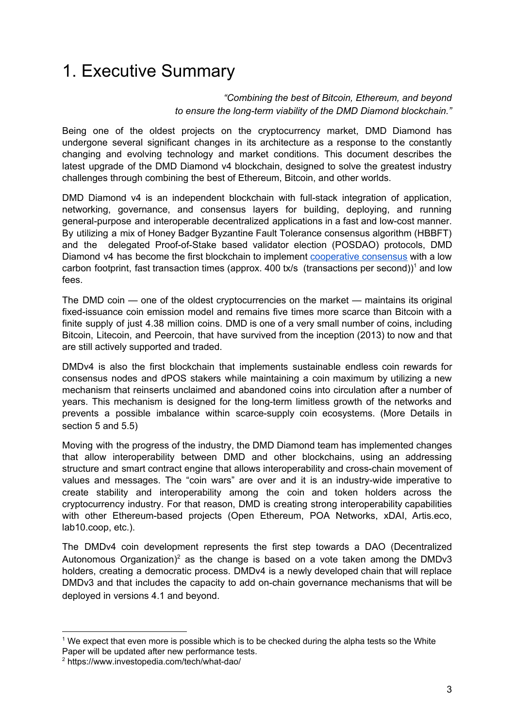## <span id="page-3-0"></span>1. Executive Summary

#### *"Combining the best of Bitcoin, Ethereum, and beyond to ensure the long-term viability of the DMD Diamond blockchain."*

Being one of the oldest projects on the cryptocurrency market, DMD Diamond has undergone several significant changes in its architecture as a response to the constantly changing and evolving technology and market conditions. This document describes the latest upgrade of the DMD Diamond v4 blockchain, designed to solve the greatest industry challenges through combining the best of Ethereum, Bitcoin, and other worlds.

DMD Diamond v4 is an independent blockchain with full-stack integration of application, networking, governance, and consensus layers for building, deploying, and running general-purpose and interoperable decentralized applications in a fast and low-cost manner. By utilizing a mix of Honey Badger Byzantine Fault Tolerance consensus algorithm (HBBFT) and the delegated Proof-of-Stake based validator election (POSDAO) protocols, DMD Diamond v4 has become the first blockchain to implement [cooperative](#page-9-2) consensus with a low carbon footprint, fast transaction times (approx. 400 tx/s (transactions per second))<sup>1</sup> and low fees.

The DMD coin — one of the oldest cryptocurrencies on the market — maintains its original fixed-issuance coin emission model and remains five times more scarce than Bitcoin with a finite supply of just 4.38 million coins. DMD is one of a very small number of coins, including Bitcoin, Litecoin, and Peercoin, that have survived from the inception (2013) to now and that are still actively supported and traded.

DMDv4 is also the first blockchain that implements sustainable endless coin rewards for consensus nodes and dPOS stakers while maintaining a coin maximum by utilizing a new mechanism that reinserts unclaimed and abandoned coins into circulation after a number of years. This mechanism is designed for the long-term limitless growth of the networks and prevents a possible imbalance within scarce-supply coin ecosystems. (More Details in section 5 and 5.5)

Moving with the progress of the industry, the DMD Diamond team has implemented changes that allow interoperability between DMD and other blockchains, using an addressing structure and smart contract engine that allows interoperability and cross-chain movement of values and messages. The "coin wars" are over and it is an industry-wide imperative to create stability and interoperability among the coin and token holders across the cryptocurrency industry. For that reason, DMD is creating strong interoperability capabilities with other Ethereum-based projects (Open Ethereum, POA Networks, xDAI, Artis.eco, lab10.coop, etc.).

The DMDv4 coin development represents the first step towards a DAO (Decentralized Autonomous Organization)<sup>2</sup> as the change is based on a vote taken among the DMDv3 holders, creating a democratic process. DMDv4 is a newly developed chain that will replace DMDv3 and that includes the capacity to add on-chain governance mechanisms that will be deployed in versions 4.1 and beyond.

<sup>&</sup>lt;sup>1</sup> We expect that even more is possible which is to be checked during the alpha tests so the White

Paper will be updated after new performance tests.

<sup>2</sup> https://www.investopedia.com/tech/what-dao/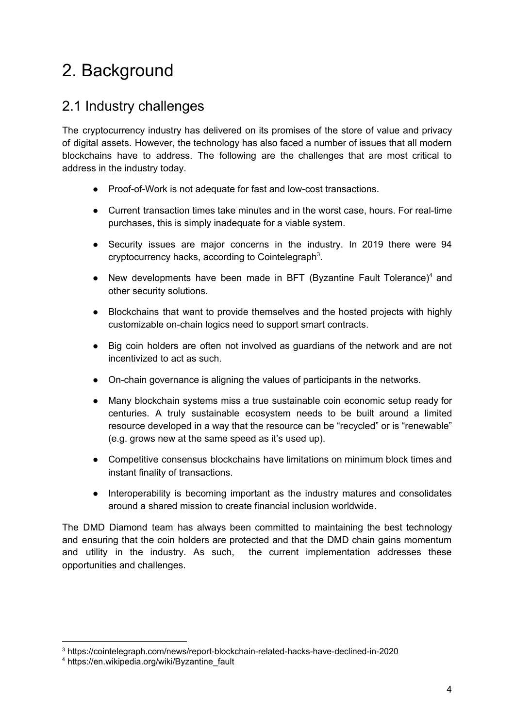# <span id="page-4-0"></span>2. Background

## <span id="page-4-1"></span>2.1 Industry challenges

The cryptocurrency industry has delivered on its promises of the store of value and privacy of digital assets. However, the technology has also faced a number of issues that all modern blockchains have to address. The following are the challenges that are most critical to address in the industry today.

- Proof-of-Work is not adequate for fast and low-cost transactions.
- Current transaction times take minutes and in the worst case, hours. For real-time purchases, this is simply inadequate for a viable system.
- Security issues are major concerns in the industry. In 2019 there were 94 cryptocurrency hacks, according to Cointelegraph<sup>3</sup>.
- New developments have been made in BFT (Byzantine Fault Tolerance)<sup>4</sup> and other security solutions.
- Blockchains that want to provide themselves and the hosted projects with highly customizable on-chain logics need to support smart contracts.
- Big coin holders are often not involved as guardians of the network and are not incentivized to act as such.
- On-chain governance is aligning the values of participants in the networks.
- Many blockchain systems miss a true sustainable coin economic setup ready for centuries. A truly sustainable ecosystem needs to be built around a limited resource developed in a way that the resource can be "recycled" or is "renewable" (e.g. grows new at the same speed as it's used up).
- Competitive consensus blockchains have limitations on minimum block times and instant finality of transactions.
- Interoperability is becoming important as the industry matures and consolidates around a shared mission to create financial inclusion worldwide.

The DMD Diamond team has always been committed to maintaining the best technology and ensuring that the coin holders are protected and that the DMD chain gains momentum and utility in the industry. As such, the current implementation addresses these opportunities and challenges.

<sup>3</sup> https://cointelegraph.com/news/report-blockchain-related-hacks-have-declined-in-2020

<sup>4</sup> https://en.wikipedia.org/wiki/Byzantine\_fault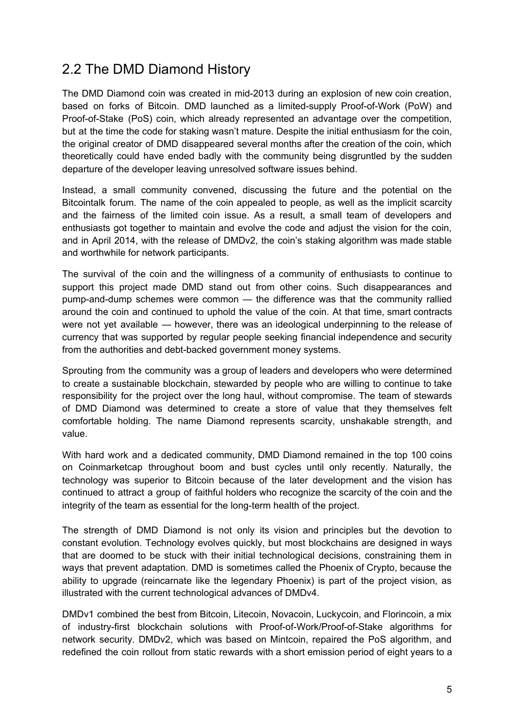## <span id="page-5-0"></span>2.2 The DMD Diamond History

The DMD Diamond coin was created in mid-2013 during an explosion of new coin creation, based on forks of Bitcoin. DMD launched as a limited-supply Proof-of-Work (PoW) and Proof-of-Stake (PoS) coin, which already represented an advantage over the competition, but at the time the code for staking wasn't mature. Despite the initial enthusiasm for the coin, the original creator of DMD disappeared several months after the creation of the coin, which theoretically could have ended badly with the community being disgruntled by the sudden departure of the developer leaving unresolved software issues behind.

Instead, a small community convened, discussing the future and the potential on the Bitcointalk forum. The name of the coin appealed to people, as well as the implicit scarcity and the fairness of the limited coin issue. As a result, a small team of developers and enthusiasts got together to maintain and evolve the code and adjust the vision for the coin. and in April 2014, with the release of DMDv2, the coin's staking algorithm was made stable and worthwhile for network participants.

The survival of the coin and the willingness of a community of enthusiasts to continue to support this project made DMD stand out from other coins. Such disappearances and pump-and-dump schemes were common — the difference was that the community rallied around the coin and continued to uphold the value of the coin. At that time, smart contracts were not yet available — however, there was an ideological underpinning to the release of currency that was supported by regular people seeking financial independence and security from the authorities and debt-backed government money systems.

Sprouting from the community was a group of leaders and developers who were determined to create a sustainable blockchain, stewarded by people who are willing to continue to take responsibility for the project over the long haul, without compromise. The team of stewards of DMD Diamond was determined to create a store of value that they themselves felt comfortable holding. The name Diamond represents scarcity, unshakable strength, and value.

With hard work and a dedicated community, DMD Diamond remained in the top 100 coins on Coinmarketcap throughout boom and bust cycles until only recently. Naturally, the technology was superior to Bitcoin because of the later development and the vision has continued to attract a group of faithful holders who recognize the scarcity of the coin and the integrity of the team as essential for the long-term health of the project.

The strength of DMD Diamond is not only its vision and principles but the devotion to constant evolution. Technology evolves quickly, but most blockchains are designed in ways that are doomed to be stuck with their initial technological decisions, constraining them in ways that prevent adaptation. DMD is sometimes called the Phoenix of Crypto, because the ability to upgrade (reincarnate like the legendary Phoenix) is part of the project vision, as illustrated with the current technological advances of DMDv4.

DMDv1 combined the best from Bitcoin, Litecoin, Novacoin, Luckycoin, and Florincoin, a mix of industry-first blockchain solutions with Proof-of-Work/Proof-of-Stake algorithms for network security. DMDv2, which was based on Mintcoin, repaired the PoS algorithm, and redefined the coin rollout from static rewards with a short emission period of eight years to a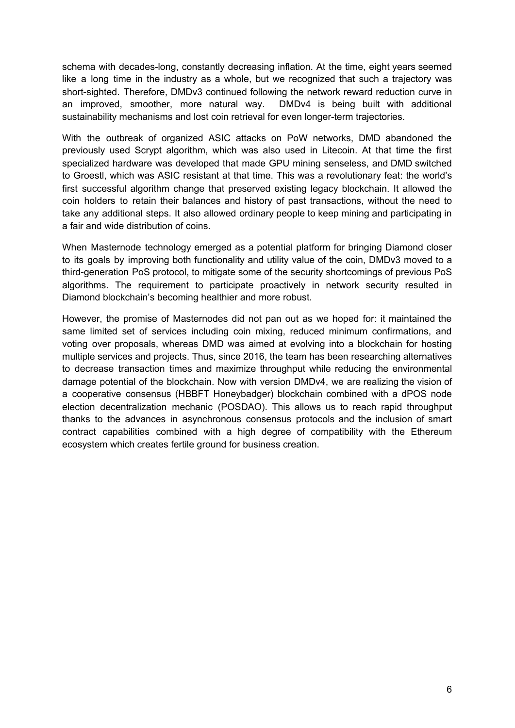schema with decades-long, constantly decreasing inflation. At the time, eight years seemed like a long time in the industry as a whole, but we recognized that such a trajectory was short-sighted. Therefore, DMDv3 continued following the network reward reduction curve in an improved, smoother, more natural way. DMDv4 is being built with additional sustainability mechanisms and lost coin retrieval for even longer-term trajectories.

With the outbreak of organized ASIC attacks on PoW networks, DMD abandoned the previously used Scrypt algorithm, which was also used in Litecoin. At that time the first specialized hardware was developed that made GPU mining senseless, and DMD switched to Groestl, which was ASIC resistant at that time. This was a revolutionary feat: the world's first successful algorithm change that preserved existing legacy blockchain. It allowed the coin holders to retain their balances and history of past transactions, without the need to take any additional steps. It also allowed ordinary people to keep mining and participating in a fair and wide distribution of coins.

When Masternode technology emerged as a potential platform for bringing Diamond closer to its goals by improving both functionality and utility value of the coin, DMDv3 moved to a third-generation PoS protocol, to mitigate some of the security shortcomings of previous PoS algorithms. The requirement to participate proactively in network security resulted in Diamond blockchain's becoming healthier and more robust.

However, the promise of Masternodes did not pan out as we hoped for: it maintained the same limited set of services including coin mixing, reduced minimum confirmations, and voting over proposals, whereas DMD was aimed at evolving into a blockchain for hosting multiple services and projects. Thus, since 2016, the team has been researching alternatives to decrease transaction times and maximize throughput while reducing the environmental damage potential of the blockchain. Now with version DMDv4, we are realizing the vision of a cooperative consensus (HBBFT Honeybadger) blockchain combined with a dPOS node election decentralization mechanic (POSDAO). This allows us to reach rapid throughput thanks to the advances in asynchronous consensus protocols and the inclusion of smart contract capabilities combined with a high degree of compatibility with the Ethereum ecosystem which creates fertile ground for business creation.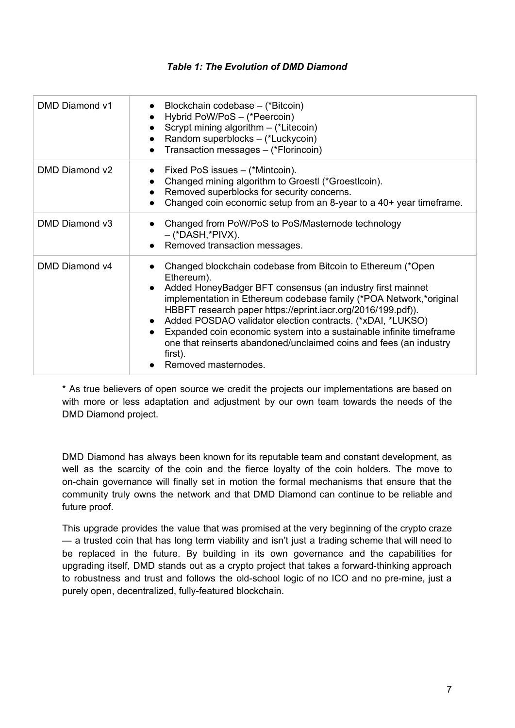#### *Table 1: The Evolution of DMD Diamond*

| DMD Diamond v1 | Blockchain codebase - (*Bitcoin)<br>Hybrid PoW/PoS - (*Peercoin)<br>Scrypt mining algorithm - (*Litecoin)<br>Random superblocks - (*Luckycoin)<br>Transaction messages - (*Florincoin)                                                                                                                                                                                                                                                                                                                                                   |
|----------------|------------------------------------------------------------------------------------------------------------------------------------------------------------------------------------------------------------------------------------------------------------------------------------------------------------------------------------------------------------------------------------------------------------------------------------------------------------------------------------------------------------------------------------------|
| DMD Diamond v2 | Fixed PoS issues - (*Mintcoin).<br>Changed mining algorithm to Groestl (*Groestlcoin).<br>Removed superblocks for security concerns.<br>Changed coin economic setup from an 8-year to a 40+ year timeframe.                                                                                                                                                                                                                                                                                                                              |
| DMD Diamond v3 | Changed from PoW/PoS to PoS/Masternode technology<br>– (*DASH,*PIVX).<br>Removed transaction messages.                                                                                                                                                                                                                                                                                                                                                                                                                                   |
| DMD Diamond v4 | Changed blockchain codebase from Bitcoin to Ethereum (*Open<br>Ethereum).<br>Added HoneyBadger BFT consensus (an industry first mainnet<br>implementation in Ethereum codebase family (*POA Network,*original<br>HBBFT research paper https://eprint.iacr.org/2016/199.pdf)).<br>Added POSDAO validator election contracts. (*xDAI, *LUKSO)<br>Expanded coin economic system into a sustainable infinite timeframe<br>$\bullet$<br>one that reinserts abandoned/unclaimed coins and fees (an industry<br>first).<br>Removed masternodes. |

\* Аs true believers of open source we credit the projects our implementations are based on with more or less adaptation and adjustment by our own team towards the needs of the DMD Diamond project.

DMD Diamond has always been known for its reputable team and constant development, as well as the scarcity of the coin and the fierce loyalty of the coin holders. The move to on-chain governance will finally set in motion the formal mechanisms that ensure that the community truly owns the network and that DMD Diamond can continue to be reliable and future proof.

This upgrade provides the value that was promised at the very beginning of the crypto craze — a trusted coin that has long term viability and isn't just a trading scheme that will need to be replaced in the future. By building in its own governance and the capabilities for upgrading itself, DMD stands out as a crypto project that takes a forward-thinking approach to robustness and trust and follows the old-school logic of no ICO and no pre-mine, just a purely open, decentralized, fully-featured blockchain.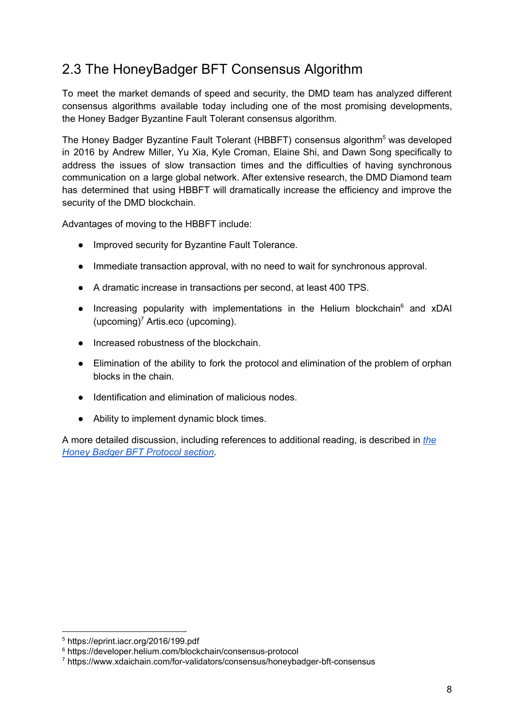## <span id="page-8-0"></span>2.3 The HoneyBadger BFT Consensus Algorithm

To meet the market demands of speed and security, the DMD team has analyzed different consensus algorithms available today including one of the most promising developments, the Honey Badger Byzantine Fault Tolerant consensus algorithm.

The Honey Badger Byzantine Fault Tolerant (HBBFT) consensus algorithm<sup>5</sup> was developed in 2016 by Andrew Miller, Yu Xia, Kyle Croman, Elaine Shi, and Dawn Song specifically to address the issues of slow transaction times and the difficulties of having synchronous communication on a large global network. After extensive research, the DMD Diamond team has determined that using HBBFT will dramatically increase the efficiency and improve the security of the DMD blockchain.

Advantages of moving to the HBBFT include:

- Improved security for Byzantine Fault Tolerance.
- Immediate transaction approval, with no need to wait for synchronous approval.
- A dramatic increase in transactions per second, at least 400 TPS.
- Increasing popularity with implementations in the Helium blockchain<sup>6</sup> and xDAI (upcoming) <sup>7</sup> Artis.eco (upcoming).
- Increased robustness of the blockchain.
- Elimination of the ability to fork the protocol and elimination of the problem of orphan blocks in the chain.
- Identification and elimination of malicious nodes.
- Ability to implement dynamic block times.

A more detailed discussion, including references to additional reading, is described in *[the](#page-21-0) Honey Badger BFT [Protocol](#page-21-0) section*.

<sup>5</sup> https://eprint.iacr.org/2016/199.pdf

<sup>6</sup> https://developer.helium.com/blockchain/consensus-protocol

<sup>7</sup> https://www.xdaichain.com/for-validators/consensus/honeybadger-bft-consensus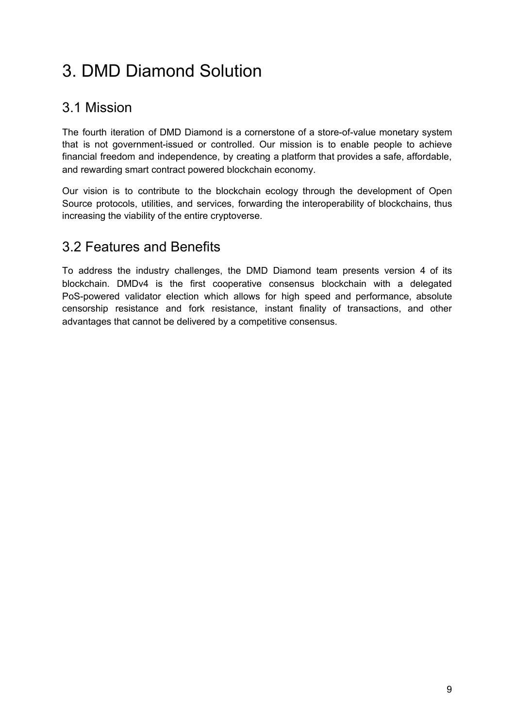# <span id="page-9-0"></span>3. DMD Diamond Solution

## <span id="page-9-1"></span>3.1 Mission

The fourth iteration of DMD Diamond is a cornerstone of a store-of-value monetary system that is not government-issued or controlled. Our mission is to enable people to achieve financial freedom and independence, by creating a platform that provides a safe, affordable, and rewarding smart contract powered blockchain economy.

Our vision is to contribute to the blockchain ecology through the development of Open Source protocols, utilities, and services, forwarding the interoperability of blockchains, thus increasing the viability of the entire cryptoverse.

## <span id="page-9-2"></span>3.2 Features and Benefits

To address the industry challenges, the DMD Diamond team presents version 4 of its blockchain. DMDv4 is the first cooperative consensus blockchain with a delegated PoS-powered validator election which allows for high speed and performance, absolute censorship resistance and fork resistance, instant finality of transactions, and other advantages that cannot be delivered by a competitive consensus.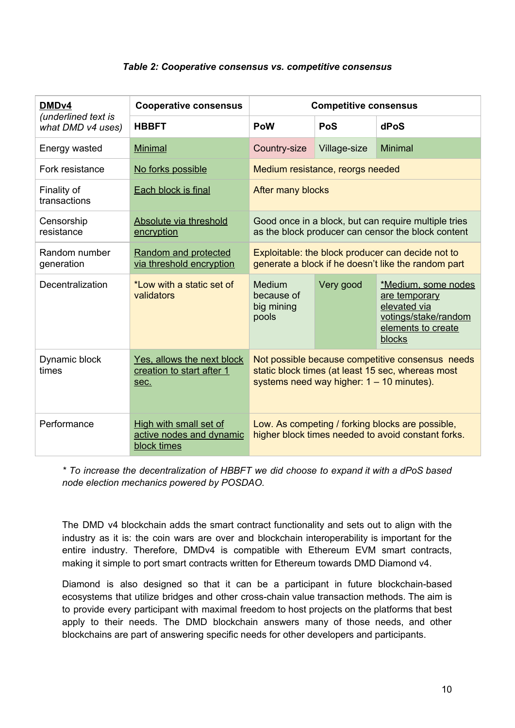#### *Table 2: Cooperative consensus vs. competitive consensus*

| DMD <sub>v4</sub>                        | <b>Cooperative consensus</b>                                      | <b>Competitive consensus</b>                                                                                                                         |              |                                                                                                              |
|------------------------------------------|-------------------------------------------------------------------|------------------------------------------------------------------------------------------------------------------------------------------------------|--------------|--------------------------------------------------------------------------------------------------------------|
| (underlined text is<br>what DMD v4 uses) | <b>HBBFT</b>                                                      | PoW                                                                                                                                                  | <b>PoS</b>   | dPoS                                                                                                         |
| Energy wasted                            | <b>Minimal</b>                                                    | Country-size                                                                                                                                         | Village-size | <b>Minimal</b>                                                                                               |
| Fork resistance                          | No forks possible                                                 | Medium resistance, reorgs needed                                                                                                                     |              |                                                                                                              |
| Finality of<br>transactions              | Each block is final                                               | After many blocks                                                                                                                                    |              |                                                                                                              |
| Censorship<br>resistance                 | Absolute via threshold<br>encryption                              | Good once in a block, but can require multiple tries<br>as the block producer can censor the block content                                           |              |                                                                                                              |
| Random number<br>generation              | Random and protected<br>via threshold encryption                  | Exploitable: the block producer can decide not to<br>generate a block if he doesn't like the random part                                             |              |                                                                                                              |
| Decentralization                         | *Low with a static set of<br>validators                           | Medium<br>because of<br>big mining<br>pools                                                                                                          | Very good    | *Medium, some nodes<br>are temporary<br>elevated via<br>votings/stake/random<br>elements to create<br>blocks |
| Dynamic block<br>times                   | Yes, allows the next block<br>creation to start after 1<br>sec.   | Not possible because competitive consensus needs<br>static block times (at least 15 sec, whereas most<br>systems need way higher: $1 - 10$ minutes). |              |                                                                                                              |
| Performance                              | High with small set of<br>active nodes and dynamic<br>block times | Low. As competing / forking blocks are possible,<br>higher block times needed to avoid constant forks.                                               |              |                                                                                                              |

*\* To increase the decentralization of HBBFT we did choose to expand it with a dPoS based node election mechanics powered by POSDAO.*

The DMD v4 blockchain adds the smart contract functionality and sets out to align with the industry as it is: the coin wars are over and blockchain interoperability is important for the entire industry. Therefore, DMDv4 is compatible with Ethereum EVM smart contracts, making it simple to port smart contracts written for Ethereum towards DMD Diamond v4.

Diamond is also designed so that it can be a participant in future blockchain-based ecosystems that utilize bridges and other cross-chain value transaction methods. The aim is to provide every participant with maximal freedom to host projects on the platforms that best apply to their needs. The DMD blockchain answers many of those needs, and other blockchains are part of answering specific needs for other developers and participants.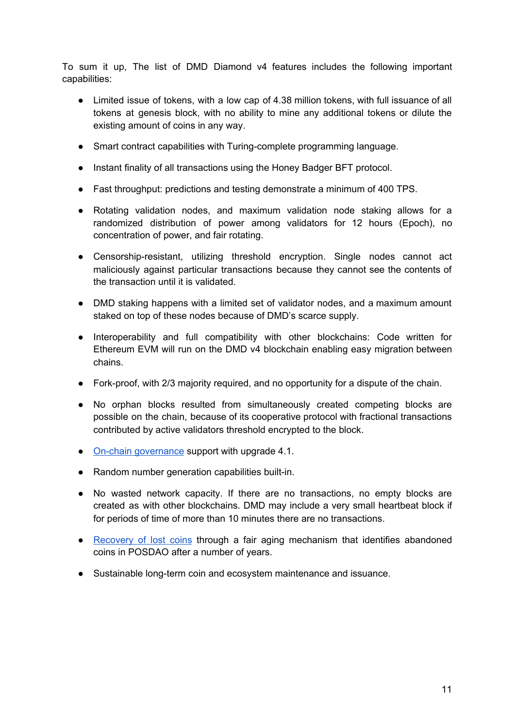To sum it up, The list of DMD Diamond v4 features includes the following important capabilities:

- Limited issue of tokens, with a low cap of 4.38 million tokens, with full issuance of all tokens at genesis block, with no ability to mine any additional tokens or dilute the existing amount of coins in any way.
- Smart contract capabilities with Turing-complete programming language.
- Instant finality of all transactions using the Honey Badger BFT protocol.
- Fast throughput: predictions and testing demonstrate a minimum of 400 TPS.
- Rotating validation nodes, and maximum validation node staking allows for a randomized distribution of power among validators for 12 hours (Epoch), no concentration of power, and fair rotating.
- Censorship-resistant, utilizing threshold encryption. Single nodes cannot act maliciously against particular transactions because they cannot see the contents of the transaction until it is validated.
- DMD staking happens with a limited set of validator nodes, and a maximum amount staked on top of these nodes because of DMD's scarce supply.
- Interoperability and full compatibility with other blockchains: Code written for Ethereum EVM will run on the DMD v4 blockchain enabling easy migration between chains.
- Fork-proof, with 2/3 majority required, and no opportunity for a dispute of the chain.
- No orphan blocks resulted from simultaneously created competing blocks are possible on the chain, because of its cooperative protocol with fractional transactions contributed by active validators threshold encrypted to the block.
- On-chain [governance](#page-15-0) support with upgrade 4.1.
- Random number generation capabilities built-in.
- No wasted network capacity. If there are no transactions, no empty blocks are created as with other blockchains. DMD may include a very small heartbeat block if for periods of time of more than 10 minutes there are no transactions.
- [Recovery](#page-31-0) of lost coins through a fair aging mechanism that identifies abandoned coins in POSDAO after a number of years.
- Sustainable long-term coin and ecosystem maintenance and issuance.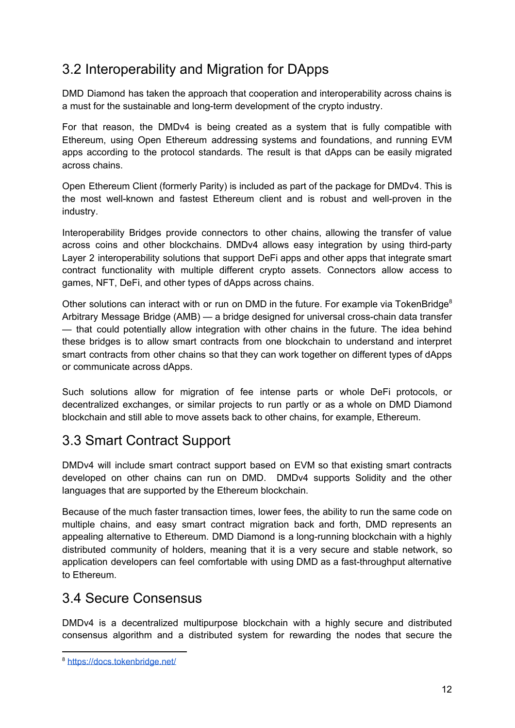## <span id="page-12-0"></span>3.2 Interoperability and Migration for DApps

DMD Diamond has taken the approach that cooperation and interoperability across chains is a must for the sustainable and long-term development of the crypto industry.

For that reason, the DMDv4 is being created as a system that is fully compatible with Ethereum, using Open Ethereum addressing systems and foundations, and running EVM apps according to the protocol standards. The result is that dApps can be easily migrated across chains.

Open Ethereum Client (formerly Parity) is included as part of the package for DMDv4. This is the most well-known and fastest Ethereum client and is robust and well-proven in the industry.

Interoperability Bridges provide connectors to other chains, allowing the transfer of value across coins and other blockchains. DMDv4 allows easy integration by using third-party Layer 2 interoperability solutions that support DeFi apps and other apps that integrate smart contract functionality with multiple different crypto assets. Connectors allow access to games, NFT, DeFi, and other types of dApps across chains.

Other solutions can interact with or run on DMD in the future. For example via TokenBridge<sup>8</sup> Arbitrary Message Bridge (AMB) — a bridge designed for universal cross-chain data transfer — that could potentially allow integration with other chains in the future. The idea behind these bridges is to allow smart contracts from one blockchain to understand and interpret smart contracts from other chains so that they can work together on different types of dApps or communicate across dApps.

Such solutions allow for migration of fee intense parts or whole DeFi protocols, or decentralized exchanges, or similar projects to run partly or as a whole on DMD Diamond blockchain and still able to move assets back to other chains, for example, Ethereum.

## <span id="page-12-1"></span>3.3 Smart Contract Support

DMDv4 will include smart contract support based on EVM so that existing smart contracts developed on other chains can run on DMD. DMDv4 supports Solidity and the other languages that are supported by the Ethereum blockchain.

Because of the much faster transaction times, lower fees, the ability to run the same code on multiple chains, and easy smart contract migration back and forth, DMD represents an appealing alternative to Ethereum. DMD Diamond is a long-running blockchain with a highly distributed community of holders, meaning that it is a very secure and stable network, so application developers can feel comfortable with using DMD as a fast-throughput alternative to Ethereum.

## <span id="page-12-2"></span>3.4 Secure Consensus

DMDv4 is a decentralized multipurpose blockchain with a highly secure and distributed consensus algorithm and a distributed system for rewarding the nodes that secure the

<sup>8</sup> <https://docs.tokenbridge.net/>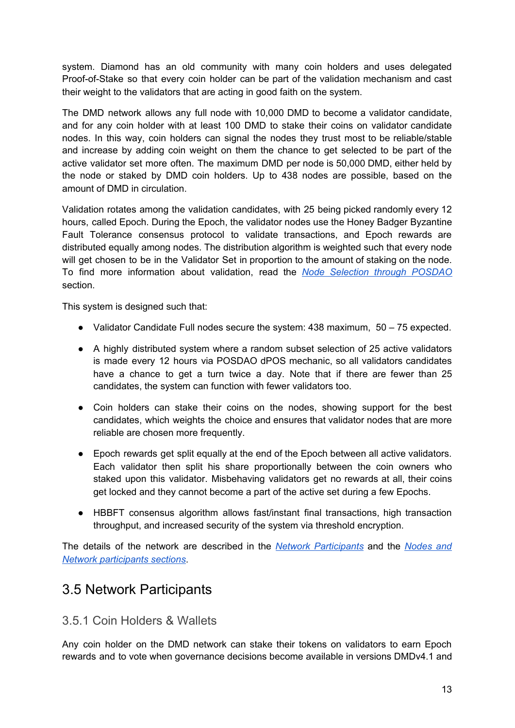system. Diamond has an old community with many coin holders and uses delegated Proof-of-Stake so that every coin holder can be part of the validation mechanism and cast their weight to the validators that are acting in good faith on the system.

The DMD network allows any full node with 10,000 DMD to become a validator candidate, and for any coin holder with at least 100 DMD to stake their coins on validator candidate nodes. In this way, coin holders can signal the nodes they trust most to be reliable/stable and increase by adding coin weight on them the chance to get selected to be part of the active validator set more often. The maximum DMD per node is 50,000 DMD, either held by the node or staked by DMD coin holders. Up to 438 nodes are possible, based on the amount of DMD in circulation.

Validation rotates among the validation candidates, with 25 being picked randomly every 12 hours, called Epoch. During the Epoch, the validator nodes use the Honey Badger Byzantine Fault Tolerance consensus protocol to validate transactions, and Epoch rewards are distributed equally among nodes. The distribution algorithm is weighted such that every node will get chosen to be in the Validator Set in proportion to the amount of staking on the node. To find more information about validation, read the *Node Selection through [POSDAO](#page-19-0)* section.

This system is designed such that:

- Validator Candidate Full nodes secure the system: 438 maximum, 50 75 expected.
- A highly distributed system where a random subset selection of 25 active validators is made every 12 hours via POSDAO dPOS mechanic, so all validators candidates have a chance to get a turn twice a day. Note that if there are fewer than 25 candidates, the system can function with fewer validators too.
- Coin holders can stake their coins on the nodes, showing support for the best candidates, which weights the choice and ensures that validator nodes that are more reliable are chosen more frequently.
- Epoch rewards get split equally at the end of the Epoch between all active validators. Each validator then split his share proportionally between the coin owners who staked upon this validator. Misbehaving validators get no rewards at all, their coins get locked and they cannot become a part of the active set during a few Epochs.
- HBBFT consensus algorithm allows fast/instant final transactions, high transaction throughput, and increased security of the system via threshold encryption.

The details of the network are described in the *Network [Participants](#page-13-0)* and the *[Nodes](#page-24-0) and Network [participants](#page-24-0) sections*.

## <span id="page-13-0"></span>3.5 Network Participants

#### <span id="page-13-1"></span>3.5.1 Coin Holders & Wallets

Any coin holder on the DMD network can stake their tokens on validators to earn Epoch rewards and to vote when governance decisions become available in versions DMDv4.1 and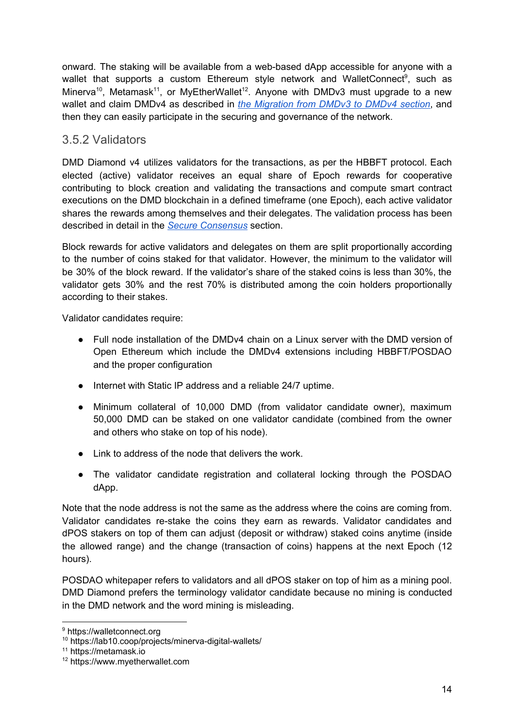onward. The staking will be available from a web-based dApp accessible for anyone with a wallet that supports a custom Ethereum style network and WalletConnect<sup>9</sup>, such as Minerva<sup>10</sup>, Metamask<sup>11</sup>, or MyEtherWallet<sup>12</sup>. Anyone with DMDv3 must upgrade to a new wallet and claim DMDv4 as described in *the [Migration](#page-30-0) from DMDv3 to DMDv4 section*, and then they can easily participate in the securing and governance of the network.

## <span id="page-14-0"></span>3.5.2 Validators

DMD Diamond v4 utilizes validators for the transactions, as per the HBBFT protocol. Each elected (active) validator receives an equal share of Epoch rewards for cooperative contributing to block creation and validating the transactions and compute smart contract executions on the DMD blockchain in a defined timeframe (one Epoch), each active validator shares the rewards among themselves and their delegates. The validation process has been described in detail in the *Secure [Consensus](#page-12-2)* section.

Block rewards for active validators and delegates on them are split proportionally according to the number of coins staked for that validator. However, the minimum to the validator will be 30% of the block reward. If the validator's share of the staked coins is less than 30%, the validator gets 30% and the rest 70% is distributed among the coin holders proportionally according to their stakes.

Validator candidates require:

- Full node installation of the DMDv4 chain on a Linux server with the DMD version of Open Ethereum which include the DMDv4 extensions including HBBFT/POSDAO and the proper configuration
- Internet with Static IP address and a reliable 24/7 uptime.
- Minimum collateral of 10,000 DMD (from validator candidate owner), maximum 50,000 DMD can be staked on one validator candidate (combined from the owner and others who stake on top of his node).
- Link to address of the node that delivers the work.
- The validator candidate registration and collateral locking through the POSDAO dApp.

Note that the node address is not the same as the address where the coins are coming from. Validator candidates re-stake the coins they earn as rewards. Validator candidates and dPOS stakers on top of them can adjust (deposit or withdraw) staked coins anytime (inside the allowed range) and the change (transaction of coins) happens at the next Epoch (12 hours).

POSDAO whitepaper refers to validators and all dPOS staker on top of him as a mining pool. DMD Diamond prefers the terminology validator candidate because no mining is conducted in the DMD network and the word mining is misleading.

<sup>9</sup> https://walletconnect.org

<sup>10</sup> https://lab10.coop/projects/minerva-digital-wallets/

<sup>11</sup> https://metamask.io

<sup>12</sup> https://www.myetherwallet.com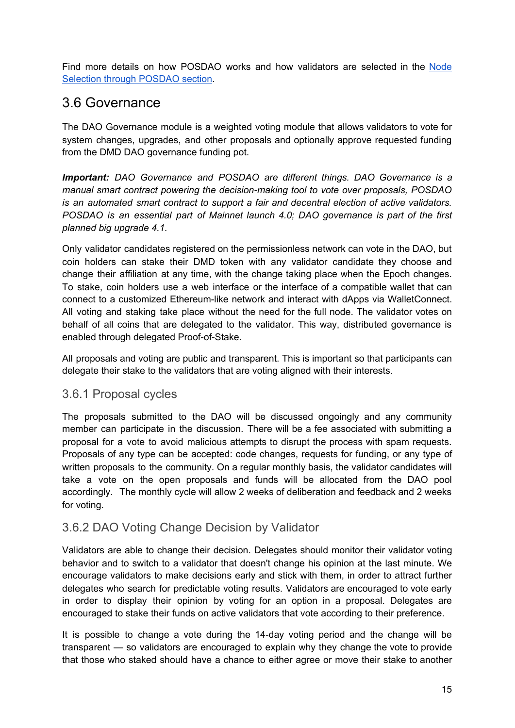Find more details on how POSDAO works and how validators are selected in the [Node](#page-19-0) Selection through [POSDAO](#page-19-0) section.

## <span id="page-15-0"></span>3.6 Governance

The DAO Governance module is a weighted voting module that allows validators to vote for system changes, upgrades, and other proposals and optionally approve requested funding from the DMD DAO governance funding pot.

*Important: DAO Governance and POSDAO are different things. DAO Governance is a manual smart contract powering the decision-making tool to vote over proposals, POSDAO is an automated smart contract to support a fair and decentral election of active validators. POSDAO is an essential part of Mainnet launch 4.0; DAO governance is part of the first planned big upgrade 4.1.*

Only validator candidates registered on the permissionless network can vote in the DAO, but coin holders can stake their DMD token with any validator candidate they choose and change their affiliation at any time, with the change taking place when the Epoch changes. To stake, coin holders use a web interface or the interface of a compatible wallet that can connect to a customized Ethereum-like network and interact with dApps via WalletConnect. All voting and staking take place without the need for the full node. The validator votes on behalf of all coins that are delegated to the validator. This way, distributed governance is enabled through delegated Proof-of-Stake.

All proposals and voting are public and transparent. This is important so that participants can delegate their stake to the validators that are voting aligned with their interests.

### <span id="page-15-1"></span>3.6.1 Proposal cycles

The proposals submitted to the DAO will be discussed ongoingly and any community member can participate in the discussion. There will be a fee associated with submitting a proposal for a vote to avoid malicious attempts to disrupt the process with spam requests. Proposals of any type can be accepted: code changes, requests for funding, or any type of written proposals to the community. On a regular monthly basis, the validator candidates will take a vote on the open proposals and funds will be allocated from the DAO pool accordingly. The monthly cycle will allow 2 weeks of deliberation and feedback and 2 weeks for voting.

## <span id="page-15-2"></span>3.6.2 DAO Voting Change Decision by Validator

Validators are able to change their decision. Delegates should monitor their validator voting behavior and to switch to a validator that doesn't change his opinion at the last minute. We encourage validators to make decisions early and stick with them, in order to attract further delegates who search for predictable voting results. Validators are encouraged to vote early in order to display their opinion by voting for an option in a proposal. Delegates are encouraged to stake their funds on active validators that vote according to their preference.

It is possible to change a vote during the 14-day voting period and the change will be transparent — so validators are encouraged to explain why they change the vote to provide that those who staked should have a chance to either agree or move their stake to another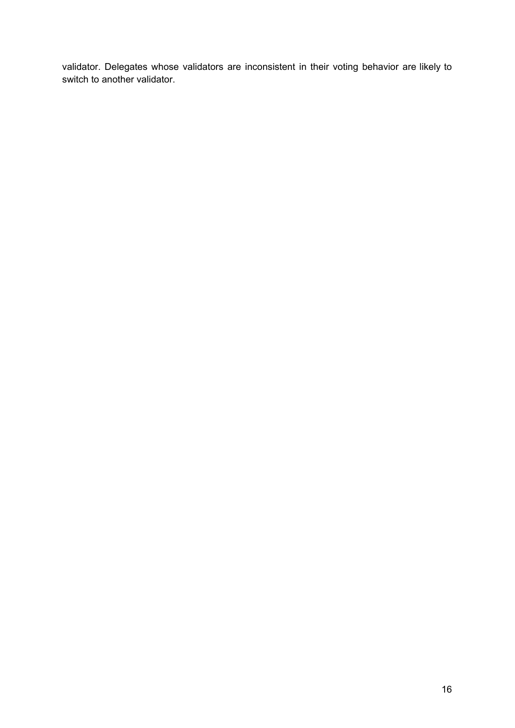validator. Delegates whose validators are inconsistent in their voting behavior are likely to switch to another validator.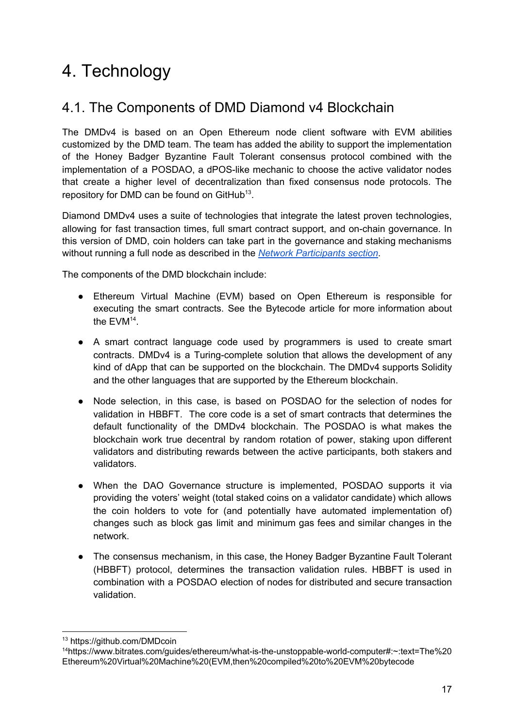# <span id="page-17-0"></span>4. Technology

## <span id="page-17-1"></span>4.1. The Components of DMD Diamond v4 Blockchain

The DMDv4 is based on an Open Ethereum node client software with EVM abilities customized by the DMD team. The team has added the ability to support the implementation of the Honey Badger Byzantine Fault Tolerant consensus protocol combined with the implementation of a POSDAO, a dPOS-like mechanic to choose the active validator nodes that create a higher level of decentralization than fixed consensus node protocols. The repository for DMD can be found on GitHub<sup>13</sup>.

Diamond DMDv4 uses a suite of technologies that integrate the latest proven technologies, allowing for fast transaction times, full smart contract support, and on-chain governance. In this version of DMD, coin holders can take part in the governance and staking mechanisms without running a full node as described in the *Network [Participants](#page-13-0) section*.

The components of the DMD blockchain include:

- Ethereum Virtual Machine (EVM) based on Open Ethereum is responsible for executing the smart contracts. See the Bytecode article for more information about the  $EVM<sup>14</sup>$ .
- A smart contract language code used by programmers is used to create smart contracts. DMDv4 is a Turing-complete solution that allows the development of any kind of dApp that can be supported on the blockchain. The DMDv4 supports Solidity and the other languages that are supported by the Ethereum blockchain.
- Node selection, in this case, is based on POSDAO for the selection of nodes for validation in HBBFT. The core code is a set of smart contracts that determines the default functionality of the DMDv4 blockchain. The POSDAO is what makes the blockchain work true decentral by random rotation of power, staking upon different validators and distributing rewards between the active participants, both stakers and validators.
- When the DAO Governance structure is implemented, POSDAO supports it via providing the voters' weight (total staked coins on a validator candidate) which allows the coin holders to vote for (and potentially have automated implementation of) changes such as block gas limit and minimum gas fees and similar changes in the network.
- The consensus mechanism, in this case, the Honey Badger Byzantine Fault Tolerant (HBBFT) protocol, determines the transaction validation rules. HBBFT is used in combination with a POSDAO election of nodes for distributed and secure transaction validation.

<sup>13</sup> https://github.com/DMDcoin

<sup>14</sup>https://www.bitrates.com/guides/ethereum/what-is-the-unstoppable-world-computer#:~:text=The%20 Ethereum%20Virtual%20Machine%20(EVM,then%20compiled%20to%20EVM%20bytecode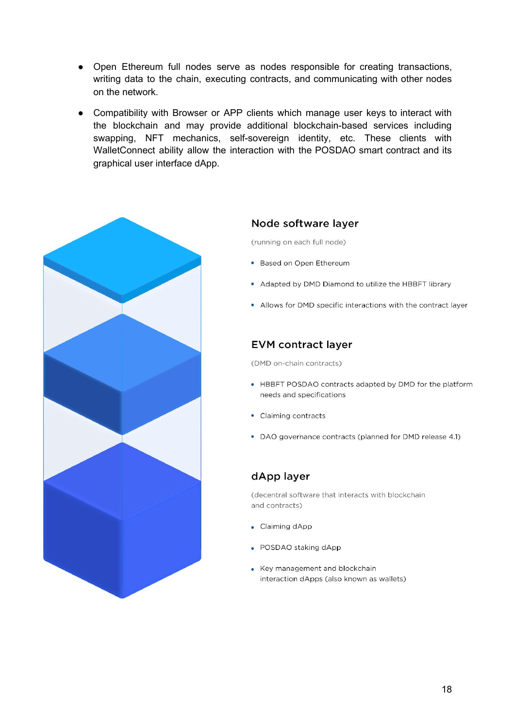- Open Ethereum full nodes serve as nodes responsible for creating transactions, writing data to the chain, executing contracts, and communicating with other nodes on the network.
- Compatibility with Browser or APP clients which manage user keys to interact with the blockchain and may provide additional blockchain-based services including swapping, NFT mechanics, self-sovereign identity, etc. These clients with WalletConnect ability allow the interaction with the POSDAO smart contract and its graphical user interface dApp.



#### Node software layer

(running on each full node)

- Based on Open Ethereum
- Adapted by DMD Diamond to utilize the HBBFT library
- Allows for DMD specific interactions with the contract layer

#### **EVM contract layer**

(DMD on-chain contracts)

- HBBFT POSDAO contracts adapted by DMD for the platform needs and specifications
- Claiming contracts
- DAO governance contracts (planned for DMD release 4.1)

#### dApp layer

(decentral software that interacts with blockchain and contracts)

- Claiming dApp
- POSDAO staking dApp
- Key management and blockchain  $\bullet$ interaction dApps (also known as wallets)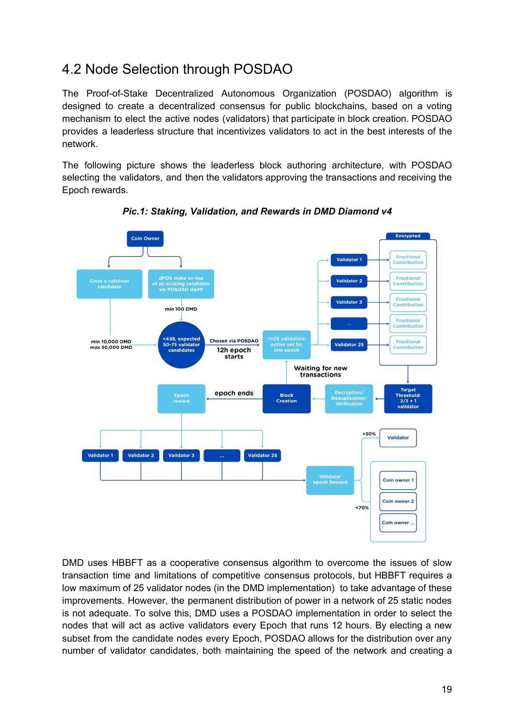## <span id="page-19-0"></span>4.2 Node Selection through POSDAO

The Proof-of-Stake Decentralized Autonomous Organization (POSDAO) algorithm is designed to create a decentralized consensus for public blockchains, based on a voting mechanism to elect the active nodes (validators) that participate in block creation. POSDAO provides a leaderless structure that incentivizes validators to act in the best interests of the network.

The following picture shows the leaderless block authoring architecture, with POSDAO selecting the validators, and then the validators approving the transactions and receiving the Epoch rewards.



*Pic.1: Staking, Validation, and Rewards in DMD Diamond v4*

DMD uses HBBFT as a cooperative consensus algorithm to overcome the issues of slow transaction time and limitations of competitive consensus protocols, but HBBFT requires a low maximum of 25 validator nodes (in the DMD implementation) to take advantage of these improvements. However, the permanent distribution of power in a network of 25 static nodes is not adequate. To solve this, DMD uses a POSDAO implementation in order to select the nodes that will act as active validators every Epoch that runs 12 hours. By electing a new subset from the candidate nodes every Epoch, POSDAO allows for the distribution over any number of validator candidates, both maintaining the speed of the network and creating a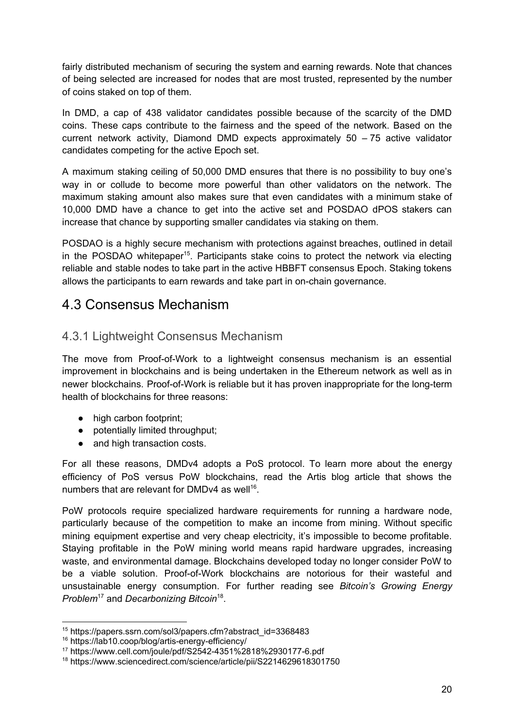fairly distributed mechanism of securing the system and earning rewards. Note that chances of being selected are increased for nodes that are most trusted, represented by the number of coins staked on top of them.

In DMD, a cap of 438 validator candidates possible because of the scarcity of the DMD coins. These caps contribute to the fairness and the speed of the network. Based on the current network activity, Diamond DMD expects approximately 50 – 75 active validator сandidates competing for the active Epoch set.

A maximum staking ceiling of 50,000 DMD ensures that there is no possibility to buy one's way in or collude to become more powerful than other validators on the network. The maximum staking amount also makes sure that even candidates with a minimum stake of 10,000 DMD have a chance to get into the active set and POSDAO dPOS stakers can increase that chance by supporting smaller candidates via staking on them.

POSDAO is a highly secure mechanism with protections against breaches, outlined in detail in the POSDAO whitepaper<sup>15</sup>. Participants stake coins to protect the network via electing reliable and stable nodes to take part in the active HBBFT consensus Epoch. Staking tokens allows the participants to earn rewards and take part in on-chain governance.

## <span id="page-20-0"></span>4.3 Consensus Mechanism

## <span id="page-20-1"></span>4.3.1 Lightweight Consensus Mechanism

The move from Proof-of-Work to a lightweight consensus mechanism is an essential improvement in blockchains and is being undertaken in the Ethereum network as well as in newer blockchains. Proof-of-Work is reliable but it has proven inappropriate for the long-term health of blockchains for three reasons:

- high carbon footprint;
- potentially limited throughput;
- and high transaction costs.

For all these reasons, DMDv4 adopts a PoS protocol. To learn more about the energy efficiency of PoS versus PoW blockchains, read the Artis blog article that shows the numbers that are relevant for DMDv4 as well<sup>16</sup>.

PoW protocols require specialized hardware requirements for running a hardware node, particularly because of the competition to make an income from mining. Without specific mining equipment expertise and very cheap electricity, it's impossible to become profitable. Staying profitable in the PoW mining world means rapid hardware upgrades, increasing waste, and environmental damage. Blockchains developed today no longer consider PoW to be a viable solution. Proof-of-Work blockchains are notorious for their wasteful and unsustainable energy consumption. For further reading see *Bitcoin's Growing Energy Problem*<sup>17</sup> and *Decarbonizing Bitcoin* 18 .

<sup>15</sup> https://papers.ssrn.com/sol3/papers.cfm?abstract\_id=3368483

<sup>16</sup> https://lab10.coop/blog/artis-energy-efficiency/

<sup>17</sup> https://www.cell.com/joule/pdf/S2542-4351%2818%2930177-6.pdf

<sup>18</sup> https://www.sciencedirect.com/science/article/pii/S2214629618301750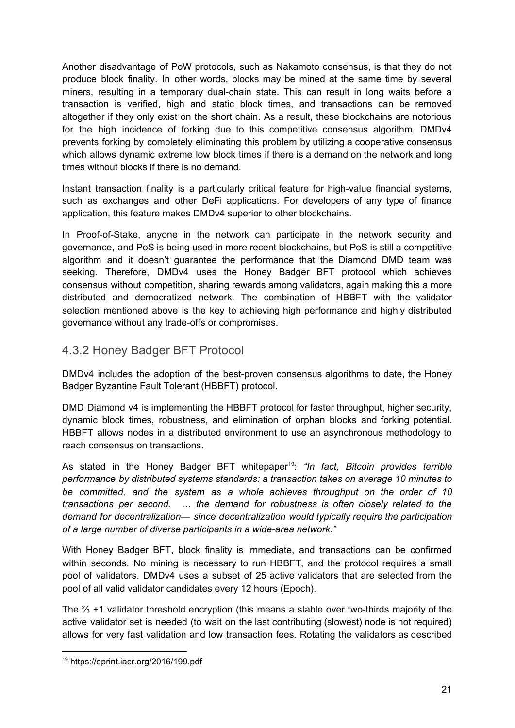Another disadvantage of PoW protocols, such as Nakamoto consensus, is that they do not produce block finality. In other words, blocks may be mined at the same time by several miners, resulting in a temporary dual-chain state. This can result in long waits before a transaction is verified, high and static block times, and transactions can be removed altogether if they only exist on the short chain. As a result, these blockchains are notorious for the high incidence of forking due to this competitive consensus algorithm. DMDv4 prevents forking by completely eliminating this problem by utilizing a cooperative consensus which allows dynamic extreme low block times if there is a demand on the network and long times without blocks if there is no demand.

Instant transaction finality is a particularly critical feature for high-value financial systems, such as exchanges and other DeFi applications. For developers of any type of finance application, this feature makes DMDv4 superior to other blockchains.

In Proof-of-Stake, anyone in the network can participate in the network security and governance, and PoS is being used in more recent blockchains, but PoS is still a competitive algorithm and it doesn't guarantee the performance that the Diamond DMD team was seeking. Therefore, DMDv4 uses the Honey Badger BFT protocol which achieves consensus without competition, sharing rewards among validators, again making this a more distributed and democratized network. The combination of HBBFT with the validator selection mentioned above is the key to achieving high performance and highly distributed governance without any trade-offs or compromises.

## <span id="page-21-0"></span>4.3.2 Honey Badger BFT Protocol

DMDv4 includes the adoption of the best-proven consensus algorithms to date, the Honey Badger Byzantine Fault Tolerant (HBBFT) protocol.

DMD Diamond v4 is implementing the HBBFT protocol for faster throughput, higher security, dynamic block times, robustness, and elimination of orphan blocks and forking potential. HBBFT allows nodes in a distributed environment to use an asynchronous methodology to reach consensus on transactions.

As stated in the Honey Badger BFT whitepaper 19 : *"In fact, Bitcoin provides terrible performance by distributed systems standards: a transaction takes on average 10 minutes to be committed, and the system as a whole achieves throughput on the order of 10 transactions per second. … the demand for robustness is often closely related to the demand for decentralization— since decentralization would typically require the participation of a large number of diverse participants in a wide-area network."*

With Honey Badger BFT, block finality is immediate, and transactions can be confirmed within seconds. No mining is necessary to run HBBFT, and the protocol requires a small pool of validators. DMDv4 uses a subset of 25 active validators that are selected from the pool of all valid validator candidates every 12 hours (Epoch).

The ⅔ +1 validator threshold encryption (this means a stable over two-thirds majority of the active validator set is needed (to wait on the last contributing (slowest) node is not required) allows for very fast validation and low transaction fees. Rotating the validators as described

<sup>19</sup> https://eprint.iacr.org/2016/199.pdf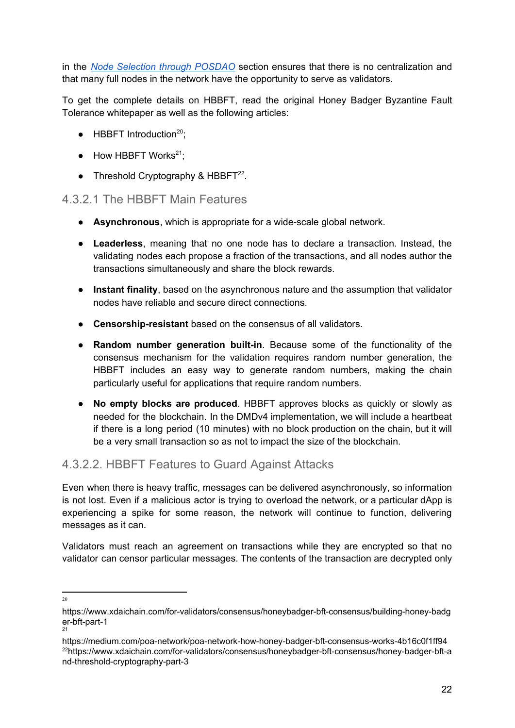in the *Node Selection through [POSDAO](#page-19-0)* section ensures that there is no centralization and that many full nodes in the network have the opportunity to serve as validators.

To get the complete details on HBBFT, read the original Honey Badger Byzantine Fault Tolerance whitepaper as well as the following articles:

- $\bullet$  HBBFT Introduction<sup>20</sup>;
- $\bullet$  How HBBFT Works<sup>21</sup>;
- Threshold Cryptography & HBBFT $^{22}$ .

### <span id="page-22-0"></span>4.3.2.1 The HBBFT Main Features

- **Asynchronous**, which is appropriate for a wide-scale global network.
- **Leaderless**, meaning that no one node has to declare a transaction. Instead, the validating nodes each propose a fraction of the transactions, and all nodes author the transactions simultaneously and share the block rewards.
- **Instant finality**, based on the asynchronous nature and the assumption that validator nodes have reliable and secure direct connections.
- **Censorship-resistant** based on the consensus of all validators.
- **Random number generation built-in**. Because some of the functionality of the consensus mechanism for the validation requires random number generation, the HBBFT includes an easy way to generate random numbers, making the chain particularly useful for applications that require random numbers.
- **No empty blocks are produced**. HBBFT approves blocks as quickly or slowly as needed for the blockchain. In the DMDv4 implementation, we will include a heartbeat if there is a long period (10 minutes) with no block production on the chain, but it will be a very small transaction so as not to impact the size of the blockchain.

## <span id="page-22-1"></span>4.3.2.2. HBBFT Features to Guard Against Attacks

Even when there is heavy traffic, messages can be delivered asynchronously, so information is not lost. Even if a malicious actor is trying to overload the network, or a particular dApp is experiencing a spike for some reason, the network will continue to function, delivering messages as it can.

Validators must reach an agreement on transactions while they are encrypted so that no validator can censor particular messages. The contents of the transaction are decrypted only

 $20$ 

https://www.xdaichain.com/for-validators/consensus/honeybadger-bft-consensus/building-honey-badg er-bft-part-1

<sup>21</sup>

https://medium.com/poa-network/poa-network-how-honey-badger-bft-consensus-works-4b16c0f1ff94 <sup>22</sup>https://www.xdaichain.com/for-validators/consensus/honeybadger-bft-consensus/honey-badger-bft-a nd-threshold-cryptography-part-3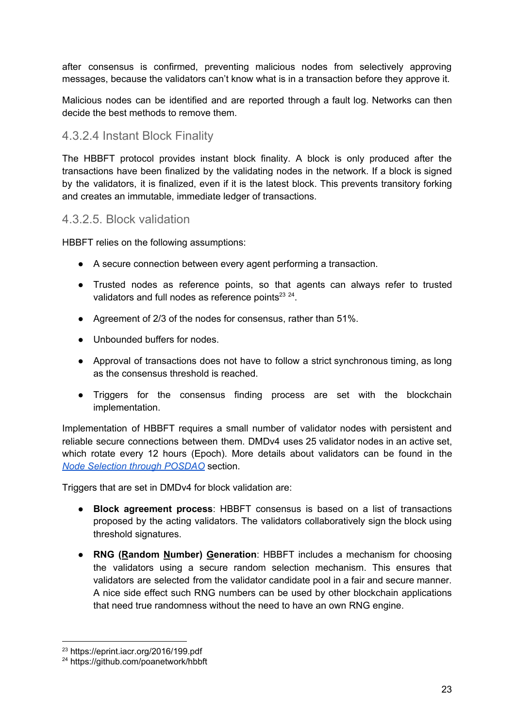after consensus is confirmed, preventing malicious nodes from selectively approving messages, because the validators can't know what is in a transaction before they approve it.

Malicious nodes can be identified and are reported through a fault log. Networks can then decide the best methods to remove them.

## <span id="page-23-0"></span>4.3.2.4 Instant Block Finality

The HBBFT protocol provides instant block finality. A block is only produced after the transactions have been finalized by the validating nodes in the network. If a block is signed by the validators, it is finalized, even if it is the latest block. This prevents transitory forking and creates an immutable, immediate ledger of transactions.

#### <span id="page-23-1"></span>4.3.2.5. Block validation

HBBFT relies on the following assumptions:

- A secure connection between every agent performing a transaction.
- Trusted nodes as reference points, so that agents can always refer to trusted validators and full nodes as reference points $^{23}$   $^{24}$ .
- Agreement of 2/3 of the nodes for consensus, rather than 51%.
- Unbounded buffers for nodes.
- Approval of transactions does not have to follow a strict synchronous timing, as long as the consensus threshold is reached.
- Triggers for the consensus finding process are set with the blockchain implementation.

Implementation of HBBFT requires a small number of validator nodes with persistent and reliable secure connections between them. DMDv4 uses 25 validator nodes in an active set, which rotate every 12 hours (Epoch). More details about validators can be found in the *Node Selection through [POSDAO](#page-19-0)* section.

Triggers that are set in DMDv4 for block validation are:

- **Block agreement process**: HBBFT consensus is based on a list of transactions proposed by the acting validators. The validators collaboratively sign the block using threshold signatures.
- **RNG (Random Number) Generation**: HBBFT includes a mechanism for choosing the validators using a secure random selection mechanism. This ensures that validators are selected from the validator candidate pool in a fair and secure manner. A nice side effect such RNG numbers can be used by other blockchain applications that need true randomness without the need to have an own RNG engine.

<sup>23</sup> https://eprint.iacr.org/2016/199.pdf

<sup>24</sup> https://github.com/poanetwork/hbbft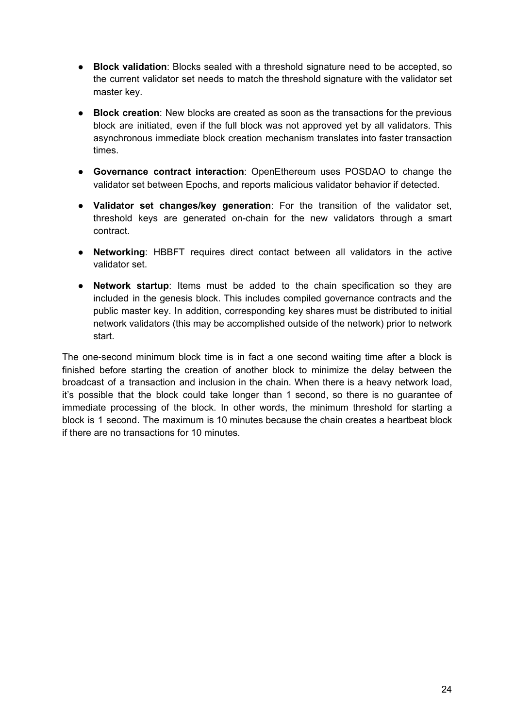- **Block validation**: Blocks sealed with a threshold signature need to be accepted, so the current validator set needs to match the threshold signature with the validator set master key.
- **Block creation**: New blocks are created as soon as the transactions for the previous block are initiated, even if the full block was not approved yet by all validators. This asynchronous immediate block creation mechanism translates into faster transaction times.
- **Governance contract interaction**: OpenEthereum uses POSDAO to change the validator set between Epochs, and reports malicious validator behavior if detected.
- **Validator set changes/key generation**: For the transition of the validator set, threshold keys are generated on-chain for the new validators through a smart contract.
- **Networking**: HBBFT requires direct contact between all validators in the active validator set.
- **Network startup**: Items must be added to the chain specification so they are included in the genesis block. This includes compiled governance contracts and the public master key. In addition, corresponding key shares must be distributed to initial network validators (this may be accomplished outside of the network) prior to network start.

<span id="page-24-0"></span>The one-second minimum block time is in fact a one second waiting time after a block is finished before starting the creation of another block to minimize the delay between the broadcast of a transaction and inclusion in the chain. When there is a heavy network load, it's possible that the block could take longer than 1 second, so there is no guarantee of immediate processing of the block. In other words, the minimum threshold for starting a block is 1 second. The maximum is 10 minutes because the chain creates a heartbeat block if there are no transactions for 10 minutes.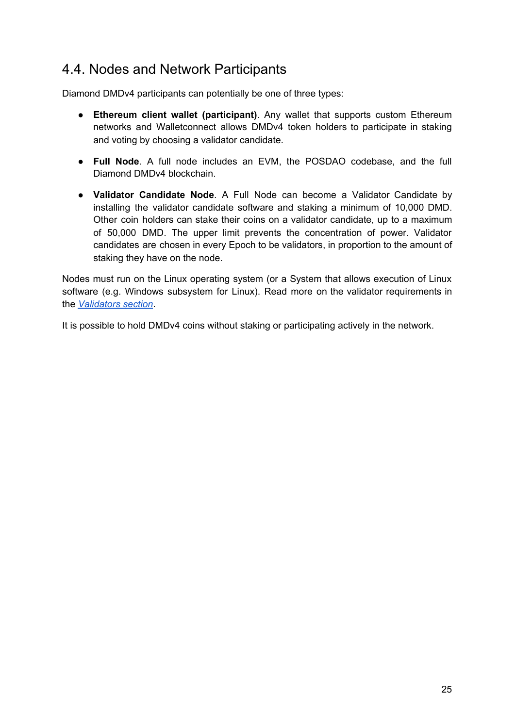## <span id="page-25-0"></span>4.4. Nodes and Network Participants

Diamond DMDv4 participants can potentially be one of three types:

- **Ethereum client wallet (participant)**. Any wallet that supports custom Ethereum networks and Walletconnect allows DMDv4 token holders to participate in staking and voting by choosing a validator candidate.
- **Full Node**. A full node includes an EVM, the POSDAO codebase, and the full Diamond DMDv4 blockchain.
- **Validator Candidate Node**. A Full Node can become a Validator Candidate by installing the validator candidate software and staking a minimum of 10,000 DMD. Other coin holders can stake their coins on a validator candidate, up to a maximum of 50,000 DMD. The upper limit prevents the concentration of power. Validator candidates are chosen in every Epoch to be validators, in proportion to the amount of staking they have on the node.

Nodes must run on the Linux operating system (or a System that allows execution of Linux software (e.g. Windows subsystem for Linux). Read more on the validator requirements in the *[Validators](#page-14-0) section*.

It is possible to hold DMDv4 coins without staking or participating actively in the network.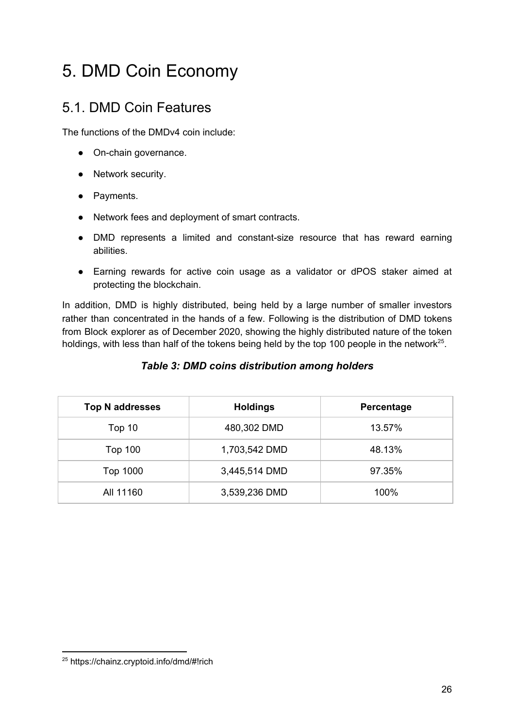# <span id="page-26-0"></span>5. DMD Coin Economy

## <span id="page-26-1"></span>5.1. DMD Coin Features

The functions of the DMDv4 coin include:

- On-chain governance.
- Network security.
- Payments.
- Network fees and deployment of smart contracts.
- DMD represents a limited and constant-size resource that has reward earning abilities.
- Earning rewards for active coin usage as a validator or dPOS staker aimed at protecting the blockchain.

In addition, DMD is highly distributed, being held by a large number of smaller investors rather than concentrated in the hands of a few. Following is the distribution of DMD tokens from Block explorer as of December 2020, showing the highly distributed nature of the token holdings, with less than half of the tokens being held by the top 100 people in the network<sup>25</sup>.

#### *Table 3: DMD coins distribution among holders*

| <b>Top N addresses</b> | <b>Holdings</b> | Percentage |
|------------------------|-----------------|------------|
| Top 10                 | 480,302 DMD     | 13.57%     |
| <b>Top 100</b>         | 1,703,542 DMD   | 48.13%     |
| Top 1000               | 3,445,514 DMD   | 97.35%     |
| All 11160              | 3,539,236 DMD   | 100%       |

<sup>25</sup> https://chainz.cryptoid.info/dmd/#!rich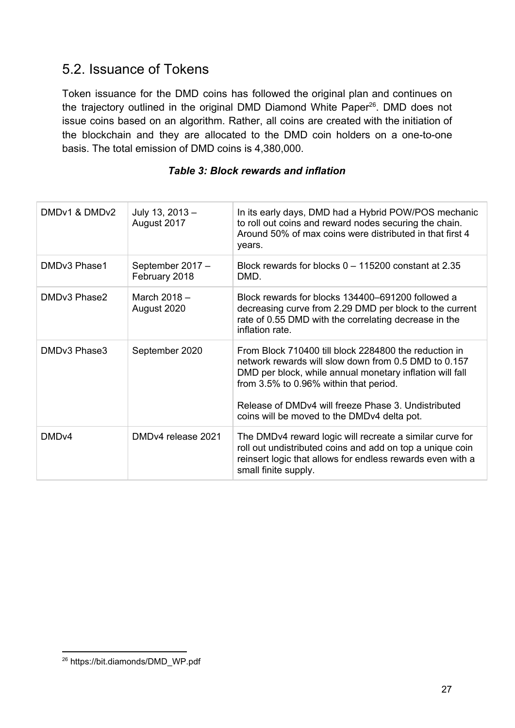## <span id="page-27-0"></span>5.2. Issuance of Tokens

Token issuance for the DMD coins has followed the original plan and continues on the trajectory outlined in the original DMD Diamond White Paper<sup>26</sup>. DMD does not issue coins based on an algorithm. Rather, all coins are created with the initiation of the blockchain and they are allocated to the DMD coin holders on a one-to-one basis. The total emission of DMD coins is 4,380,000.

#### *Table 3: Block rewards and inflation*

| DMDv1 & DMDv2     | July 13, 2013 -<br>August 2017    | In its early days, DMD had a Hybrid POW/POS mechanic<br>to roll out coins and reward nodes securing the chain.<br>Around 50% of max coins were distributed in that first 4<br>years.                                                                                                                                      |
|-------------------|-----------------------------------|---------------------------------------------------------------------------------------------------------------------------------------------------------------------------------------------------------------------------------------------------------------------------------------------------------------------------|
| DMDv3 Phase1      | September 2017 -<br>February 2018 | Block rewards for blocks $0 - 115200$ constant at 2.35<br>DMD.                                                                                                                                                                                                                                                            |
| DMDv3 Phase2      | March $2018 -$<br>August 2020     | Block rewards for blocks 134400–691200 followed a<br>decreasing curve from 2.29 DMD per block to the current<br>rate of 0.55 DMD with the correlating decrease in the<br>inflation rate                                                                                                                                   |
| DMDv3 Phase3      | September 2020                    | From Block 710400 fill block 2284800 the reduction in<br>network rewards will slow down from 0.5 DMD to 0.157<br>DMD per block, while annual monetary inflation will fall<br>from 3.5% to 0.96% within that period.<br>Release of DMDv4 will freeze Phase 3. Undistributed<br>coins will be moved to the DMDv4 delta pot. |
| DMD <sub>v4</sub> | DMDv4 release 2021                | The DMDv4 reward logic will recreate a similar curve for<br>roll out undistributed coins and add on top a unique coin<br>reinsert logic that allows for endless rewards even with a<br>small finite supply.                                                                                                               |

<sup>26</sup> https://bit.diamonds/DMD\_WP.pdf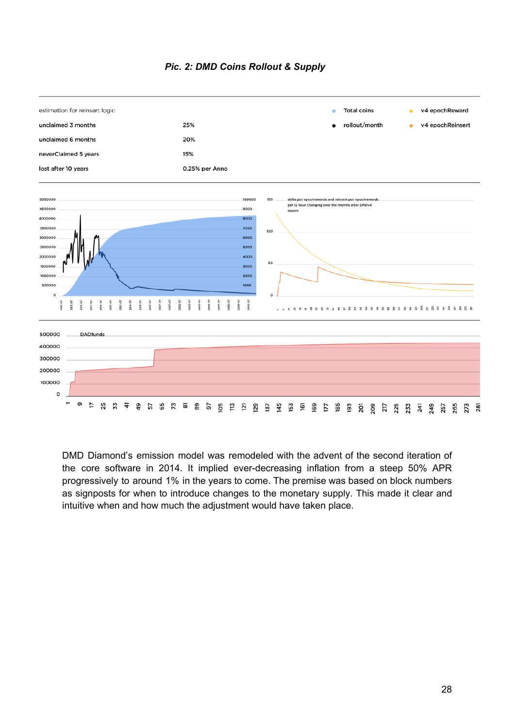



DMD Diamond's emission model was remodeled with the advent of the second iteration of the core software in 2014. It implied ever-decreasing inflation from a steep 50% APR progressively to around 1% in the years to come. The premise was based on block numbers as signposts for when to introduce changes to the monetary supply. This made it clear and intuitive when and how much the adjustment would have taken place.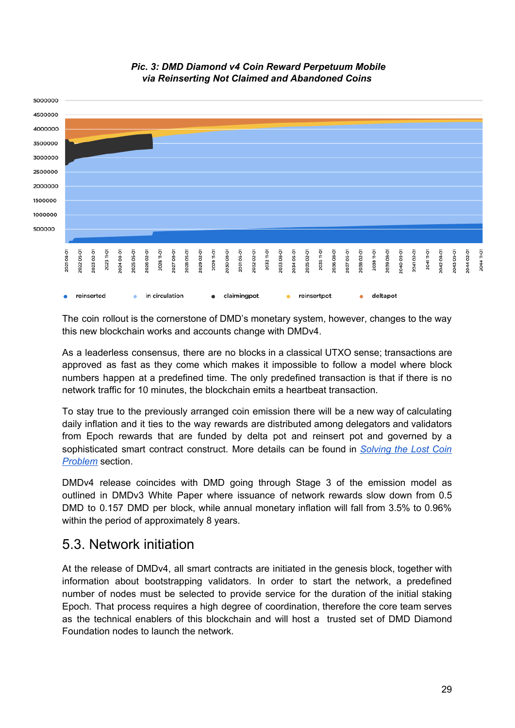



The coin rollout is the cornerstone of DMD's monetary system, however, changes to the way this new blockchain works and accounts change with DMDv4.

As a leaderless consensus, there are no blocks in a classical UTXO sense; transactions are approved as fast as they come which makes it impossible to follow a model where block numbers happen at a predefined time. The only predefined transaction is that if there is no network traffic for 10 minutes, the blockchain emits a heartbeat transaction.

To stay true to the previously arranged coin emission there will be a new way of calculating daily inflation and it ties to the way rewards are distributed among delegators and validators from Epoch rewards that are funded by delta pot and reinsert pot and governed by a sophisticated smart contract construct. More details can be found in *[Solving](#page-31-0) the Lost Coin [Problem](#page-31-0)* section.

DMDv4 release coincides with DMD going through Stage 3 of the emission model as outlined in DMDv3 White Paper where issuance of network rewards slow down from 0.5 DMD to 0.157 DMD per block, while annual monetary inflation will fall from 3.5% to 0.96% within the period of approximately 8 years.

## <span id="page-29-0"></span>5.3. Network initiation

At the release of DMDv4, all smart contracts are initiated in the genesis block, together with information about bootstrapping validators. In order to start the network, a predefined number of nodes must be selected to provide service for the duration of the initial staking Epoch. That process requires a high degree of coordination, therefore the core team serves as the technical enablers of this blockchain and will host a trusted set of DMD Diamond Foundation nodes to launch the network.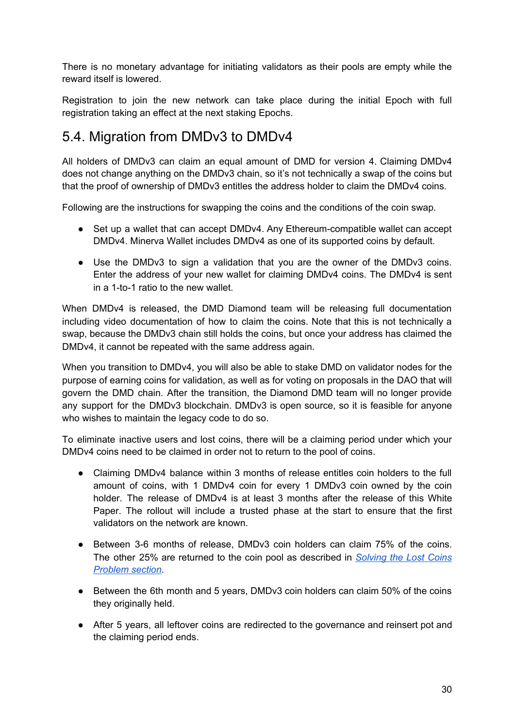There is no monetary advantage for initiating validators as their pools are empty while the reward itself is lowered.

Registration to join the new network can take place during the initial Epoch with full registration taking an effect at the next staking Epochs.

## <span id="page-30-0"></span>5.4. Migration from DMDv3 to DMDv4

All holders of DMDv3 can claim an equal amount of DMD for version 4. Claiming DMDv4 does not change anything on the DMDv3 chain, so it's not technically a swap of the coins but that the proof of ownership of DMDv3 entitles the address holder to claim the DMDv4 coins.

Following are the instructions for swapping the coins and the conditions of the coin swap.

- Set up a wallet that can accept DMDv4. Any Ethereum-compatible wallet can accept DMDv4. Minerva Wallet includes DMDv4 as one of its supported coins by default.
- Use the DMDv3 to sign a validation that you are the owner of the DMDv3 coins. Enter the address of your new wallet for claiming DMDv4 coins. The DMDv4 is sent in a 1-to-1 ratio to the new wallet.

When DMDv4 is released, the DMD Diamond team will be releasing full documentation including video documentation of how to claim the coins. Note that this is not technically a swap, because the DMDv3 chain still holds the coins, but once your address has claimed the DMDv4, it cannot be repeated with the same address again.

When you transition to DMDv4, you will also be able to stake DMD on validator nodes for the purpose of earning coins for validation, as well as for voting on proposals in the DAO that will govern the DMD chain. After the transition, the Diamond DMD team will no longer provide any support for the DMDv3 blockchain. DMDv3 is open source, so it is feasible for anyone who wishes to maintain the legacy code to do so.

To eliminate inactive users and lost coins, there will be a claiming period under which your DMDv4 coins need to be claimed in order not to return to the pool of coins.

- Claiming DMDv4 balance within 3 months of release entitles coin holders to the full amount of coins, with 1 DMDv4 coin for every 1 DMDv3 coin owned by the coin holder. The release of DMDv4 is at least 3 months after the release of this White Paper. The rollout will include a trusted phase at the start to ensure that the first validators on the network are known.
- Between 3-6 months of release, DMDv3 coin holders can claim 75% of the coins. The other 25% are returned to the coin pool as described in *[Solving](#page-31-0) the Lost Coins [Problem](#page-31-0) section*.
- Between the 6th month and 5 years, DMDv3 coin holders can claim 50% of the coins they originally held.
- After 5 years, all leftover coins are redirected to the governance and reinsert pot and the claiming period ends.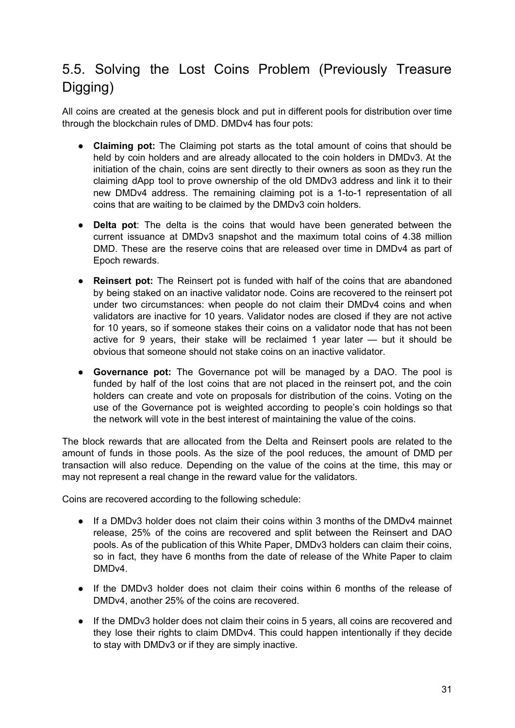## <span id="page-31-0"></span>5.5. Solving the Lost Coins Problem (Previously Treasure Digging)

All coins are created at the genesis block and put in different pools for distribution over time through the blockchain rules of DMD. DMDv4 has four pots:

- **Claiming pot:** The Claiming pot starts as the total amount of coins that should be held by coin holders and are already allocated to the coin holders in DMDv3. At the initiation of the chain, coins are sent directly to their owners as soon as they run the claiming dApp tool to prove ownership of the old DMDv3 address and link it to their new DMDv4 address. The remaining claiming pot is a 1-to-1 representation of all coins that are waiting to be claimed by the DMDv3 coin holders.
- **Delta pot**: The delta is the coins that would have been generated between the current issuance at DMDv3 snapshot and the maximum total coins of 4.38 million DMD. These are the reserve coins that are released over time in DMDv4 as part of Epoch rewards.
- **Reinsert pot:** The Reinsert pot is funded with half of the coins that are abandoned by being staked on an inactive validator node. Coins are recovered to the reinsert pot under two circumstances: when people do not claim their DMDv4 coins and when validators are inactive for 10 years. Validator nodes are closed if they are not active for 10 years, so if someone stakes their coins on a validator node that has not been active for 9 years, their stake will be reclaimed 1 year later — but it should be obvious that someone should not stake coins on an inactive validator.
- **Governance pot:** The Governance pot will be managed by a DAO. The pool is funded by half of the lost coins that are not placed in the reinsert pot, and the coin holders can create and vote on proposals for distribution of the coins. Voting on the use of the Governance pot is weighted according to people's coin holdings so that the network will vote in the best interest of maintaining the value of the coins.

The block rewards that are allocated from the Delta and Reinsert pools are related to the amount of funds in those pools. As the size of the pool reduces, the amount of DMD per transaction will also reduce. Depending on the value of the coins at the time, this may or may not represent a real change in the reward value for the validators.

Coins are recovered according to the following schedule:

- If a DMDv3 holder does not claim their coins within 3 months of the DMDv4 mainnet release, 25% of the coins are recovered and split between the Reinsert and DAO pools. As of the publication of this White Paper, DMDv3 holders can claim their coins, so in fact, they have 6 months from the date of release of the White Paper to claim DMDv4.
- If the DMDv3 holder does not claim their coins within 6 months of the release of DMDv4, another 25% of the coins are recovered.
- If the DMDv3 holder does not claim their coins in 5 years, all coins are recovered and they lose their rights to claim DMDv4. This could happen intentionally if they decide to stay with DMDv3 or if they are simply inactive.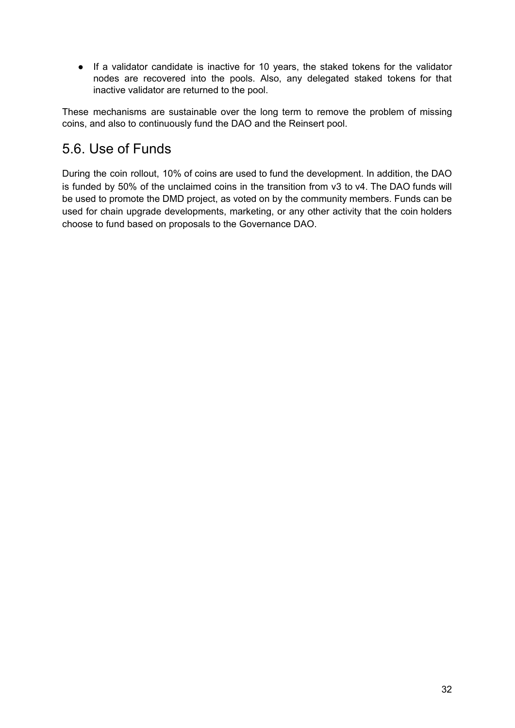● If a validator candidate is inactive for 10 years, the staked tokens for the validator nodes are recovered into the pools. Also, any delegated staked tokens for that inactive validator are returned to the pool.

These mechanisms are sustainable over the long term to remove the problem of missing coins, and also to continuously fund the DAO and the Reinsert pool.

## <span id="page-32-0"></span>5.6. Use of Funds

During the coin rollout, 10% of coins are used to fund the development. In addition, the DAO is funded by 50% of the unclaimed coins in the transition from v3 to v4. The DAO funds will be used to promote the DMD project, as voted on by the community members. Funds can be used for chain upgrade developments, marketing, or any other activity that the coin holders choose to fund based on proposals to the Governance DAO.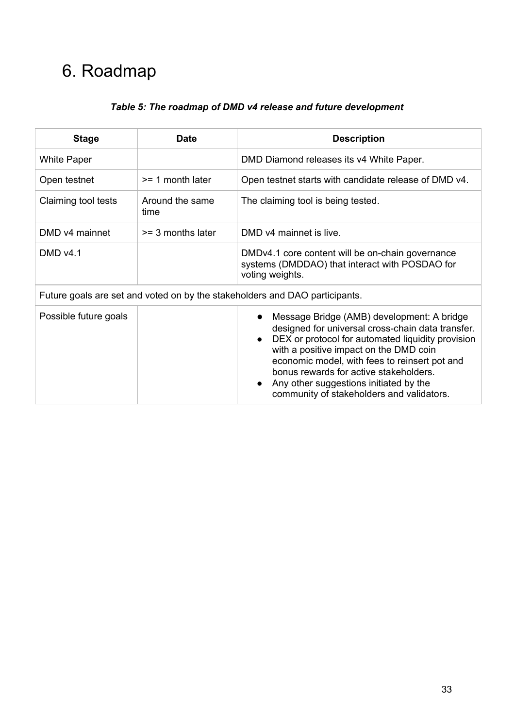# <span id="page-33-0"></span>6. Roadmap

|  | Table 5: The roadmap of DMD v4 release and future development |  |
|--|---------------------------------------------------------------|--|
|  |                                                               |  |

| <b>Stage</b>                                                                | <b>Date</b>             | <b>Description</b>                                                                                                                                                                                                                                                                                                                                                                            |  |
|-----------------------------------------------------------------------------|-------------------------|-----------------------------------------------------------------------------------------------------------------------------------------------------------------------------------------------------------------------------------------------------------------------------------------------------------------------------------------------------------------------------------------------|--|
| White Paper                                                                 |                         | DMD Diamond releases its v4 White Paper.                                                                                                                                                                                                                                                                                                                                                      |  |
| Open testnet                                                                | $>= 1$ month later      | Open testnet starts with candidate release of DMD v4.                                                                                                                                                                                                                                                                                                                                         |  |
| Claiming tool tests                                                         | Around the same<br>time | The claiming tool is being tested.                                                                                                                                                                                                                                                                                                                                                            |  |
| DMD v4 mainnet                                                              | $>=$ 3 months later     | DMD v4 mainnet is live.                                                                                                                                                                                                                                                                                                                                                                       |  |
| <b>DMD v4.1</b>                                                             |                         | DMDv4.1 core content will be on-chain governance<br>systems (DMDDAO) that interact with POSDAO for<br>voting weights.                                                                                                                                                                                                                                                                         |  |
| Future goals are set and voted on by the stakeholders and DAO participants. |                         |                                                                                                                                                                                                                                                                                                                                                                                               |  |
| Possible future goals                                                       |                         | Message Bridge (AMB) development: A bridge<br>designed for universal cross-chain data transfer.<br>DEX or protocol for automated liquidity provision<br>with a positive impact on the DMD coin<br>economic model, with fees to reinsert pot and<br>bonus rewards for active stakeholders.<br>Any other suggestions initiated by the<br>$\bullet$<br>community of stakeholders and validators. |  |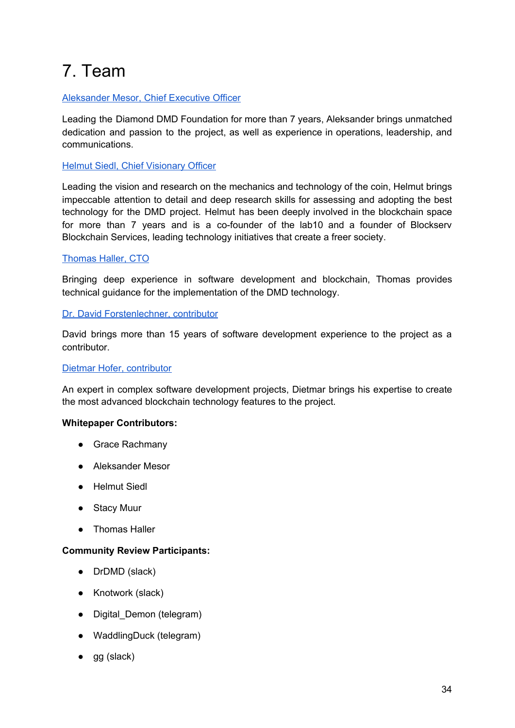# <span id="page-34-0"></span>7. Team

#### [Aleksander](https://www.linkedin.com/in/aleksander-mesor-b03368a8/) Mesor, Chief Executive Officer

Leading the Diamond DMD Foundation for more than 7 years, Aleksander brings unmatched dedication and passion to the project, as well as experience in operations, leadership, and communications.

#### Helmut Siedl, Chief [Visionary](https://www.linkedin.com/in/helmut-siedl-58646092/) Officer

Leading the vision and research on the mechanics and technology of the coin, Helmut brings impeccable attention to detail and deep research skills for assessing and adopting the best technology for the DMD project. Helmut has been deeply involved in the blockchain space for more than 7 years and is a co-founder of the lab10 and a founder of Blockserv Blockchain Services, leading technology initiatives that create a freer society.

#### [Thomas](https://github.com/SurfingNerd) Haller, CTO

Bringing deep experience in software development and blockchain, Thomas provides technical guidance for the implementation of the DMD technology.

#### Dr. David [Forstenlechner,](https://www.linkedin.com/in/david-forstenlechner-98637329/) contributor

David brings more than 15 years of software development experience to the project as a contributor.

#### Dietmar Hofer, [contributor](https://www.linkedin.com/in/dietmar-hofer-3b497748/)

An expert in complex software development projects, Dietmar brings his expertise to create the most advanced blockchain technology features to the project.

#### **Whitepaper Contributors:**

- Grace Rachmany
- Aleksander Mesor
- Helmut Siedl
- Stacy Muur
- Thomas Haller

#### **Community Review Participants:**

- DrDMD (slack)
- Knotwork (slack)
- Digital\_Demon (telegram)
- WaddlingDuck (telegram)
- gg (slack)